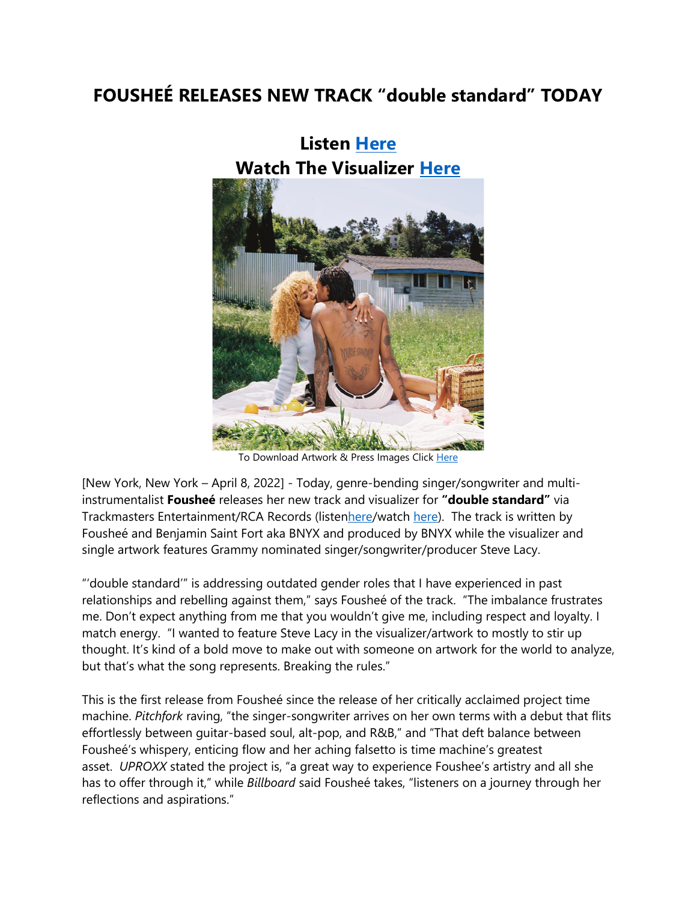## **FOUSHEÉ RELEASES NEW TRACK "double standard" TODAY**



**Listen [Here](https://eur01.safelinks.protection.outlook.com/?url=https%3A%2F%2Ffoushee.lnk.to%2Fdoublestandard&data=04%7C01%7Cnoelle.janasiewicz.sme%40sonymusic.com%7C3fd3c18b4169491b04e108da195fbdd4%7Cf0aff3b791a54aaeaf71c63e1dda2049%7C0%7C0%7C637850196288175450%7CUnknown%7CTWFpbGZsb3d8eyJWIjoiMC4wLjAwMDAiLCJQIjoiV2luMzIiLCJBTiI6Ik1haWwiLCJXVCI6Mn0%3D%7C3000&sdata=qX3c0o41hIRd6lLYphCHSrtuP6LbSNz4Um5sh5P9XJQ%3D&reserved=0) Watch The Visualizer [Here](https://eur01.safelinks.protection.outlook.com/?url=https%3A%2F%2Ffoushee.lnk.to%2Fdoublestandardvid&data=04%7C01%7Cnoelle.janasiewicz.sme%40sonymusic.com%7C3fd3c18b4169491b04e108da195fbdd4%7Cf0aff3b791a54aaeaf71c63e1dda2049%7C0%7C0%7C637850196288175450%7CUnknown%7CTWFpbGZsb3d8eyJWIjoiMC4wLjAwMDAiLCJQIjoiV2luMzIiLCJBTiI6Ik1haWwiLCJXVCI6Mn0%3D%7C3000&sdata=92%2FQ5Mm0ksn9Je7iWzaJqIpCxois6U7a6bEgP6ozz3A%3D&reserved=0)**

To Download Artwork & Press Images Click [Here](https://eur01.safelinks.protection.outlook.com/?url=https%3A%2F%2Fapp.box.com%2Fs%2Fd609c3lldhlghct8vf1pj55x0kvgz2ie&data=04%7C01%7Cnoelle.janasiewicz.sme%40sonymusic.com%7C3fd3c18b4169491b04e108da195fbdd4%7Cf0aff3b791a54aaeaf71c63e1dda2049%7C0%7C0%7C637850196288175450%7CUnknown%7CTWFpbGZsb3d8eyJWIjoiMC4wLjAwMDAiLCJQIjoiV2luMzIiLCJBTiI6Ik1haWwiLCJXVCI6Mn0%3D%7C3000&sdata=SgYMWgLjeTxdxfKljg9Ytm61Uiwlf4zkStYHK%2BK8OQc%3D&reserved=0)

[New York, New York – April 8, 2022] - Today, genre-bending singer/songwriter and multiinstrumentalist **Fousheé** releases her new track and visualizer for **"double standard"** via Trackmasters Entertainment/RCA Records (liste[nhere/](https://eur01.safelinks.protection.outlook.com/?url=https%3A%2F%2Ffoushee.lnk.to%2Fdoublestandard&data=04%7C01%7Cnoelle.janasiewicz.sme%40sonymusic.com%7C3fd3c18b4169491b04e108da195fbdd4%7Cf0aff3b791a54aaeaf71c63e1dda2049%7C0%7C0%7C637850196288175450%7CUnknown%7CTWFpbGZsb3d8eyJWIjoiMC4wLjAwMDAiLCJQIjoiV2luMzIiLCJBTiI6Ik1haWwiLCJXVCI6Mn0%3D%7C3000&sdata=qX3c0o41hIRd6lLYphCHSrtuP6LbSNz4Um5sh5P9XJQ%3D&reserved=0)watch [here\)](https://eur01.safelinks.protection.outlook.com/?url=https%3A%2F%2Ffoushee.lnk.to%2Fdoublestandardvid&data=04%7C01%7Cnoelle.janasiewicz.sme%40sonymusic.com%7C3fd3c18b4169491b04e108da195fbdd4%7Cf0aff3b791a54aaeaf71c63e1dda2049%7C0%7C0%7C637850196288175450%7CUnknown%7CTWFpbGZsb3d8eyJWIjoiMC4wLjAwMDAiLCJQIjoiV2luMzIiLCJBTiI6Ik1haWwiLCJXVCI6Mn0%3D%7C3000&sdata=92%2FQ5Mm0ksn9Je7iWzaJqIpCxois6U7a6bEgP6ozz3A%3D&reserved=0). The track is written by Fousheé and Benjamin Saint Fort aka BNYX and produced by BNYX while the visualizer and single artwork features Grammy nominated singer/songwriter/producer Steve Lacy.

"'double standard'" is addressing outdated gender roles that I have experienced in past relationships and rebelling against them," says Fousheé of the track. "The imbalance frustrates me. Don't expect anything from me that you wouldn't give me, including respect and loyalty. I match energy. "I wanted to feature Steve Lacy in the visualizer/artwork to mostly to stir up thought. It's kind of a bold move to make out with someone on artwork for the world to analyze, but that's what the song represents. Breaking the rules."

This is the first release from Fousheé since the release of her critically acclaimed project time machine. *Pitchfork* raving, "the singer-songwriter arrives on her own terms with a debut that flits effortlessly between guitar-based soul, alt-pop, and R&B," and "That deft balance between Fousheé's whispery, enticing flow and her aching falsetto is time machine's greatest asset. *UPROXX* stated the project is, "a great way to experience Foushee's artistry and all she has to offer through it," while *Billboard* said Fousheé takes, "listeners on a journey through her reflections and aspirations."